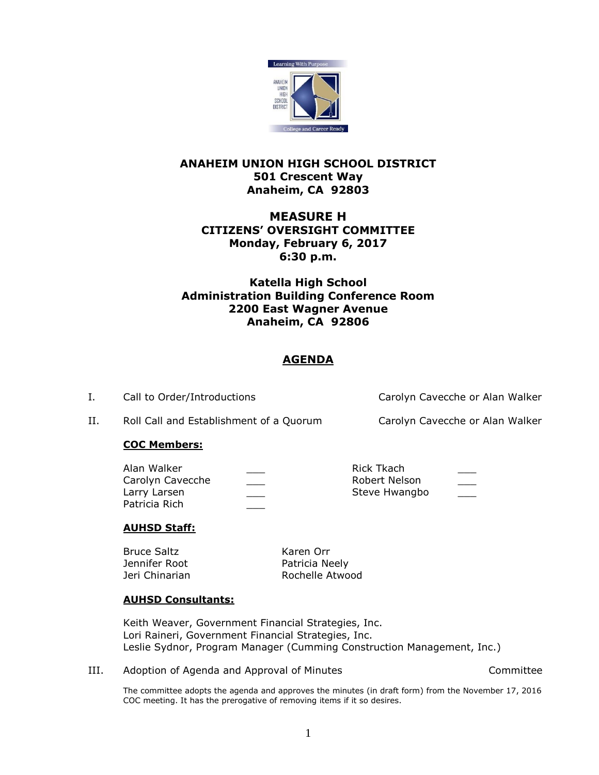

## **ANAHEIM UNION HIGH SCHOOL DISTRICT 501 Crescent Way Anaheim, CA 92803**

# **MEASURE H CITIZENS' OVERSIGHT COMMITTEE Monday, February 6, 2017 6:30 p.m.**

# **Katella High School Administration Building Conference Room 2200 East Wagner Avenue Anaheim, CA 92806**

# **AGENDA**

I. Call to Order/Introductions Carolyn Cavecche or Alan Walker

II. Roll Call and Establishment of a Quorum Carolyn Cavecche or Alan Walker

### **COC Members:**

| Alan Walker      | Rick Tkach    |     |
|------------------|---------------|-----|
| Carolyn Cavecche | Robert Nelson | ___ |
| Larry Larsen     | Steve Hwangbo |     |
| Patricia Rich    |               |     |

### **AUHSD Staff:**

Bruce Saltz Karen Orr Jennifer Root **Patricia Neely** 

Jeri Chinarian **Rochelle Atwood** 

## **AUHSD Consultants:**

Keith Weaver, Government Financial Strategies, Inc. Lori Raineri, Government Financial Strategies, Inc. Leslie Sydnor, Program Manager (Cumming Construction Management, Inc.)

III. Adoption of Agenda and Approval of Minutes Committee

The committee adopts the agenda and approves the minutes (in draft form) from the November 17, 2016 COC meeting. It has the prerogative of removing items if it so desires.